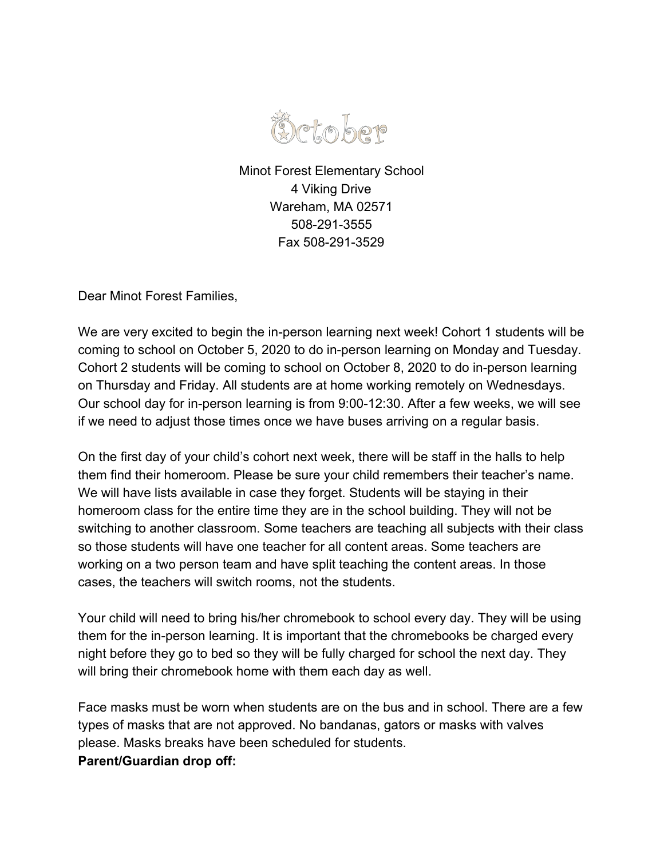

Minot Forest Elementary School 4 Viking Drive Wareham, MA 02571 508-291-3555 Fax 508-291-3529

Dear Minot Forest Families,

We are very excited to begin the in-person learning next week! Cohort 1 students will be coming to school on October 5, 2020 to do in-person learning on Monday and Tuesday. Cohort 2 students will be coming to school on October 8, 2020 to do in-person learning on Thursday and Friday. All students are at home working remotely on Wednesdays. Our school day for in-person learning is from 9:00-12:30. After a few weeks, we will see if we need to adjust those times once we have buses arriving on a regular basis.

On the first day of your child's cohort next week, there will be staff in the halls to help them find their homeroom. Please be sure your child remembers their teacher's name. We will have lists available in case they forget. Students will be staying in their homeroom class for the entire time they are in the school building. They will not be switching to another classroom. Some teachers are teaching all subjects with their class so those students will have one teacher for all content areas. Some teachers are working on a two person team and have split teaching the content areas. In those cases, the teachers will switch rooms, not the students.

Your child will need to bring his/her chromebook to school every day. They will be using them for the in-person learning. It is important that the chromebooks be charged every night before they go to bed so they will be fully charged for school the next day. They will bring their chromebook home with them each day as well.

Face masks must be worn when students are on the bus and in school. There are a few types of masks that are not approved. No bandanas, gators or masks with valves please. Masks breaks have been scheduled for students.

**Parent/Guardian drop off:**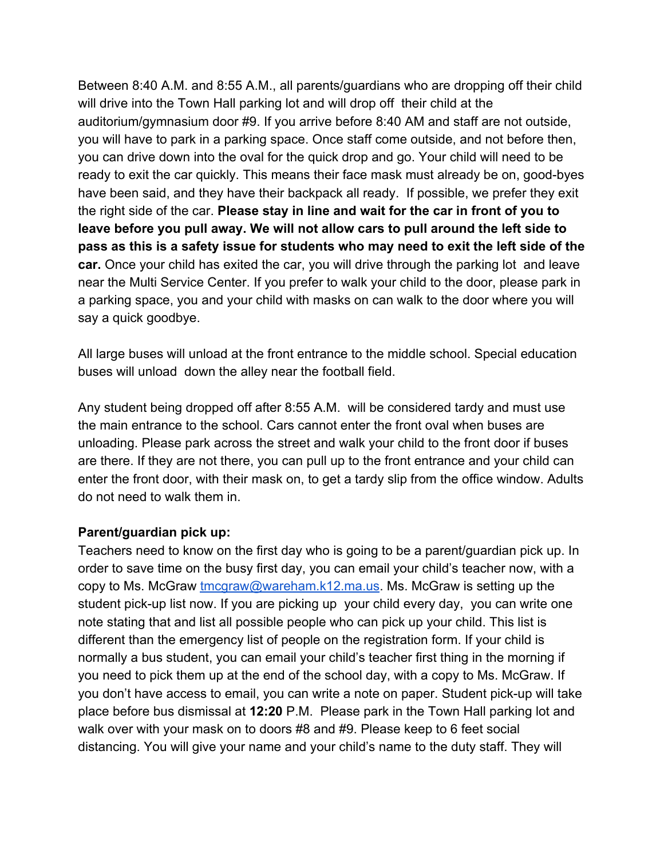Between 8:40 A.M. and 8:55 A.M., all parents/guardians who are dropping off their child will drive into the Town Hall parking lot and will drop off their child at the auditorium/gymnasium door #9. If you arrive before 8:40 AM and staff are not outside, you will have to park in a parking space. Once staff come outside, and not before then, you can drive down into the oval for the quick drop and go. Your child will need to be ready to exit the car quickly. This means their face mask must already be on, good-byes have been said, and they have their backpack all ready. If possible, we prefer they exit the right side of the car. **Please stay in line and wait for the car in front of you to leave before you pull away. We will not allow cars to pull around the left side to pass as this is a safety issue for students who may need to exit the left side of the car.** Once your child has exited the car, you will drive through the parking lot and leave near the Multi Service Center. If you prefer to walk your child to the door, please park in a parking space, you and your child with masks on can walk to the door where you will say a quick goodbye.

All large buses will unload at the front entrance to the middle school. Special education buses will unload down the alley near the football field.

Any student being dropped off after 8:55 A.M. will be considered tardy and must use the main entrance to the school. Cars cannot enter the front oval when buses are unloading. Please park across the street and walk your child to the front door if buses are there. If they are not there, you can pull up to the front entrance and your child can enter the front door, with their mask on, to get a tardy slip from the office window. Adults do not need to walk them in.

## **Parent/guardian pick up:**

Teachers need to know on the first day who is going to be a parent/guardian pick up. In order to save time on the busy first day, you can email your child's teacher now, with a copy to Ms. McGraw [tmcgraw@wareham.k12.ma.us](mailto:tmcgraw@wareham.k12.ma.us). Ms. McGraw is setting up the student pick-up list now. If you are picking up your child every day, you can write one note stating that and list all possible people who can pick up your child. This list is different than the emergency list of people on the registration form. If your child is normally a bus student, you can email your child's teacher first thing in the morning if you need to pick them up at the end of the school day, with a copy to Ms. McGraw. If you don't have access to email, you can write a note on paper. Student pick-up will take place before bus dismissal at **12:20** P.M. Please park in the Town Hall parking lot and walk over with your mask on to doors #8 and #9. Please keep to 6 feet social distancing. You will give your name and your child's name to the duty staff. They will